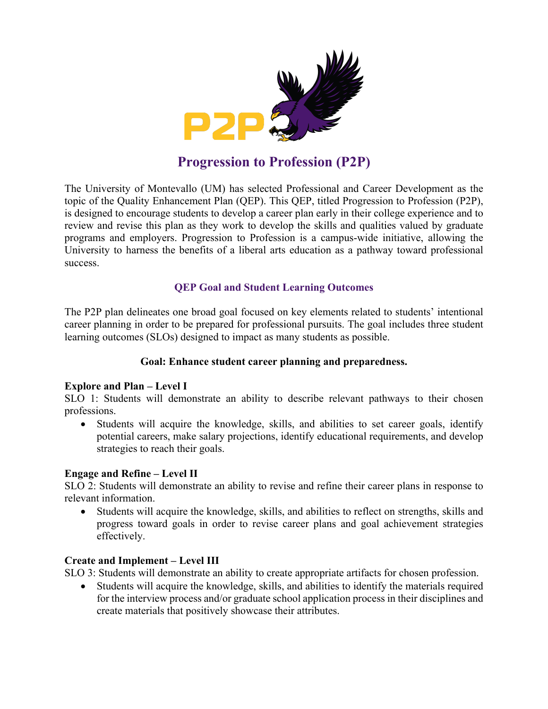

# **Progression to Profession (P2P)**

The University of Montevallo (UM) has selected Professional and Career Development as the topic of the Quality Enhancement Plan (QEP). This QEP, titled Progression to Profession (P2P), is designed to encourage students to develop a career plan early in their college experience and to review and revise this plan as they work to develop the skills and qualities valued by graduate programs and employers. Progression to Profession is a campus-wide initiative, allowing the University to harness the benefits of a liberal arts education as a pathway toward professional success.

# **QEP Goal and Student Learning Outcomes**

The P2P plan delineates one broad goal focused on key elements related to students' intentional career planning in order to be prepared for professional pursuits. The goal includes three student learning outcomes (SLOs) designed to impact as many students as possible.

# **Goal: Enhance student career planning and preparedness.**

# **Explore and Plan – Level I**

SLO 1: Students will demonstrate an ability to describe relevant pathways to their chosen professions.

• Students will acquire the knowledge, skills, and abilities to set career goals, identify potential careers, make salary projections, identify educational requirements, and develop strategies to reach their goals.

# **Engage and Refine – Level II**

SLO 2: Students will demonstrate an ability to revise and refine their career plans in response to relevant information.

• Students will acquire the knowledge, skills, and abilities to reflect on strengths, skills and progress toward goals in order to revise career plans and goal achievement strategies effectively.

# **Create and Implement – Level III**

SLO 3: Students will demonstrate an ability to create appropriate artifacts for chosen profession.

• Students will acquire the knowledge, skills, and abilities to identify the materials required for the interview process and/or graduate school application process in their disciplines and create materials that positively showcase their attributes.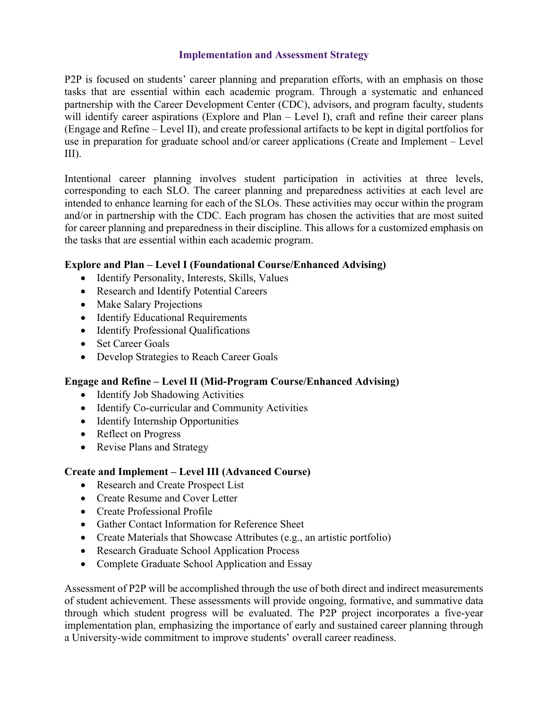### **Implementation and Assessment Strategy**

P2P is focused on students' career planning and preparation efforts, with an emphasis on those tasks that are essential within each academic program. Through a systematic and enhanced partnership with the Career Development Center (CDC), advisors, and program faculty, students will identify career aspirations (Explore and Plan – Level I), craft and refine their career plans (Engage and Refine – Level II), and create professional artifacts to be kept in digital portfolios for use in preparation for graduate school and/or career applications (Create and Implement – Level III).

Intentional career planning involves student participation in activities at three levels, corresponding to each SLO. The career planning and preparedness activities at each level are intended to enhance learning for each of the SLOs. These activities may occur within the program and/or in partnership with the CDC. Each program has chosen the activities that are most suited for career planning and preparedness in their discipline. This allows for a customized emphasis on the tasks that are essential within each academic program.

# **Explore and Plan – Level I (Foundational Course/Enhanced Advising)**

- Identify Personality, Interests, Skills, Values
- Research and Identify Potential Careers
- Make Salary Projections
- Identify Educational Requirements
- Identify Professional Qualifications
- Set Career Goals
- Develop Strategies to Reach Career Goals

# **Engage and Refine – Level II (Mid-Program Course/Enhanced Advising)**

- Identify Job Shadowing Activities
- Identify Co-curricular and Community Activities
- Identify Internship Opportunities
- Reflect on Progress
- Revise Plans and Strategy

# **Create and Implement – Level III (Advanced Course)**

- Research and Create Prospect List
- Create Resume and Cover Letter
- Create Professional Profile
- Gather Contact Information for Reference Sheet
- Create Materials that Showcase Attributes (e.g., an artistic portfolio)
- Research Graduate School Application Process
- Complete Graduate School Application and Essay

Assessment of P2P will be accomplished through the use of both direct and indirect measurements of student achievement. These assessments will provide ongoing, formative, and summative data through which student progress will be evaluated. The P2P project incorporates a five-year implementation plan, emphasizing the importance of early and sustained career planning through a University-wide commitment to improve students' overall career readiness.